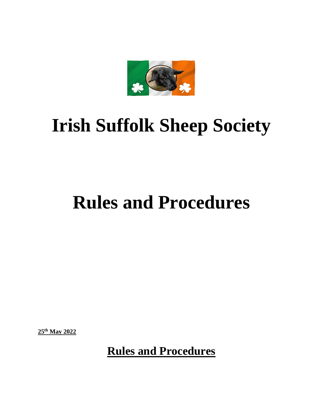

# **Irish Suffolk Sheep Society**

## **Rules and Procedures**

**25th May 2022**

**Rules and Procedures**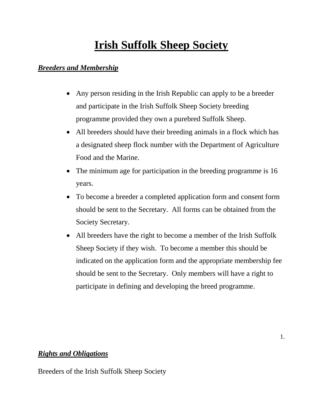### **Irish Suffolk Sheep Society**

### *Breeders and Membership*

- Any person residing in the Irish Republic can apply to be a breeder and participate in the Irish Suffolk Sheep Society breeding programme provided they own a purebred Suffolk Sheep.
- All breeders should have their breeding animals in a flock which has a designated sheep flock number with the Department of Agriculture Food and the Marine.
- The minimum age for participation in the breeding programme is 16 years.
- To become a breeder a completed application form and consent form should be sent to the Secretary. All forms can be obtained from the Society Secretary.
- All breeders have the right to become a member of the Irish Suffolk Sheep Society if they wish. To become a member this should be indicated on the application form and the appropriate membership fee should be sent to the Secretary. Only members will have a right to participate in defining and developing the breed programme.

#### *Rights and Obligations*

Breeders of the Irish Suffolk Sheep Society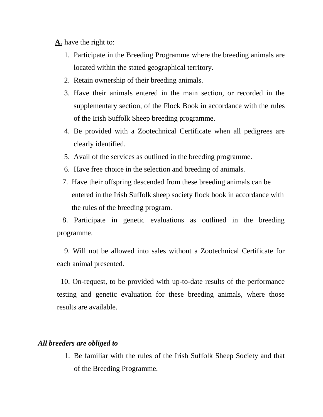- **A.** have the right to:
	- 1. Participate in the Breeding Programme where the breeding animals are located within the stated geographical territory.
	- 2. Retain ownership of their breeding animals.
	- 3. Have their animals entered in the main section, or recorded in the supplementary section, of the Flock Book in accordance with the rules of the Irish Suffolk Sheep breeding programme.
	- 4. Be provided with a Zootechnical Certificate when all pedigrees are clearly identified.
	- 5. Avail of the services as outlined in the breeding programme.
	- 6. Have free choice in the selection and breeding of animals.
	- 7. Have their offspring descended from these breeding animals can be entered in the Irish Suffolk sheep society flock book in accordance with the rules of the breeding program.

 8. Participate in genetic evaluations as outlined in the breeding programme.

 9. Will not be allowed into sales without a Zootechnical Certificate for each animal presented.

 10. On-request, to be provided with up-to-date results of the performance testing and genetic evaluation for these breeding animals, where those results are available.

#### *All breeders are obliged to*

1. Be familiar with the rules of the Irish Suffolk Sheep Society and that of the Breeding Programme.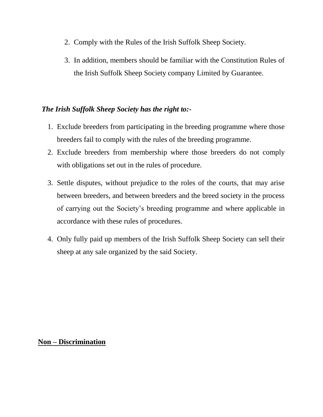- 2. Comply with the Rules of the Irish Suffolk Sheep Society.
- 3. In addition, members should be familiar with the Constitution Rules of the Irish Suffolk Sheep Society company Limited by Guarantee.

#### *The Irish Suffolk Sheep Society has the right to:-*

- 1. Exclude breeders from participating in the breeding programme where those breeders fail to comply with the rules of the breeding programme.
- 2. Exclude breeders from membership where those breeders do not comply with obligations set out in the rules of procedure.
- 3. Settle disputes, without prejudice to the roles of the courts, that may arise between breeders, and between breeders and the breed society in the process of carrying out the Society's breeding programme and where applicable in accordance with these rules of procedures.
- 4. Only fully paid up members of the Irish Suffolk Sheep Society can sell their sheep at any sale organized by the said Society.

#### **Non – Discrimination**